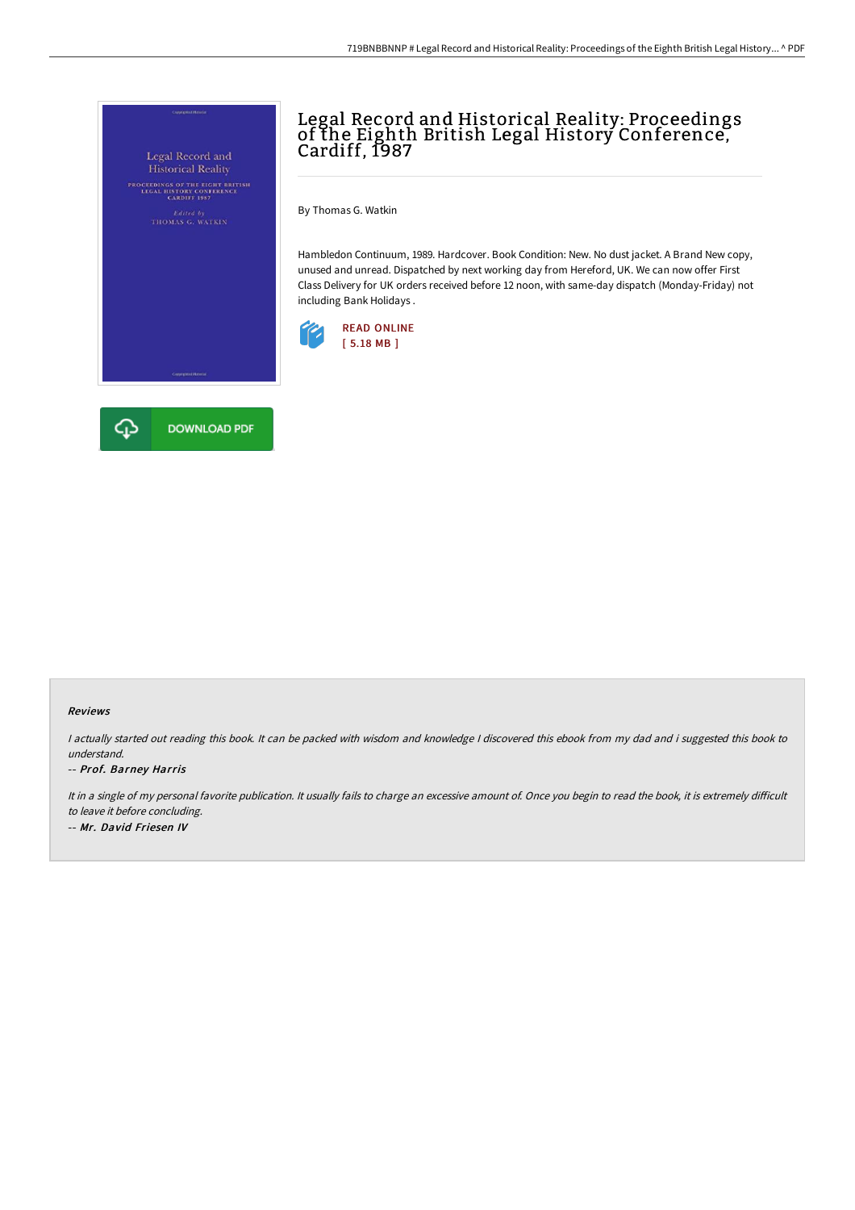

## Legal Record and Historical Reality: Proceedings of the Eighth British Legal History Conference, Cardiff, 1987

By Thomas G. Watkin

Hambledon Continuum, 1989. Hardcover. Book Condition: New. No dust jacket. A Brand New copy, unused and unread. Dispatched by next working day from Hereford, UK. We can now offer First Class Delivery for UK orders received before 12 noon, with same-day dispatch (Monday-Friday) not including Bank Holidays .



## Reviews

<sup>I</sup> actually started out reading this book. It can be packed with wisdom and knowledge <sup>I</sup> discovered this ebook from my dad and i suggested this book to understand.

## -- Prof. Barney Harris

It in a single of my personal favorite publication. It usually fails to charge an excessive amount of. Once you begin to read the book, it is extremely difficult to leave it before concluding. -- Mr. David Friesen IV